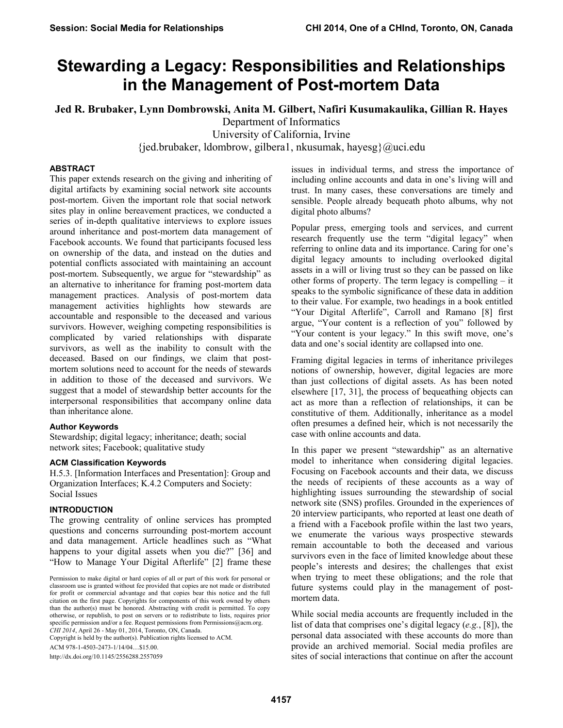# **Stewarding a Legacy: Responsibilities and Relationships in the Management of Post-mortem Data**

**Jed R. Brubaker, Lynn Dombrowski, Anita M. Gilbert, Nafiri Kusumakaulika, Gillian R. Hayes**

Department of Informatics

University of California, Irvine

 $\{j$ ed.brubaker, ldombrow, gilbera1, nkusumak, hayesg $\{a\}$ uci.edu

# **ABSTRACT**

This paper extends research on the giving and inheriting of digital artifacts by examining social network site accounts post-mortem. Given the important role that social network sites play in online bereavement practices, we conducted a series of in-depth qualitative interviews to explore issues around inheritance and post-mortem data management of Facebook accounts. We found that participants focused less on ownership of the data, and instead on the duties and potential conflicts associated with maintaining an account post-mortem. Subsequently, we argue for "stewardship" as an alternative to inheritance for framing post-mortem data management practices. Analysis of post-mortem data management activities highlights how stewards are accountable and responsible to the deceased and various survivors. However, weighing competing responsibilities is complicated by varied relationships with disparate survivors, as well as the inability to consult with the deceased. Based on our findings, we claim that postmortem solutions need to account for the needs of stewards in addition to those of the deceased and survivors. We suggest that a model of stewardship better accounts for the interpersonal responsibilities that accompany online data than inheritance alone.

## **Author Keywords**

Stewardship; digital legacy; inheritance; death; social network sites; Facebook; qualitative study

## **ACM Classification Keywords**

H.5.3. [Information Interfaces and Presentation]: Group and Organization Interfaces; K.4.2 Computers and Society: Social Issues

## **INTRODUCTION**

The growing centrality of online services has prompted questions and concerns surrounding post-mortem account and data management. Article headlines such as "What happens to your digital assets when you die?" [36] and "How to Manage Your Digital Afterlife" [2] frame these

Copyright is held by the author(s). Publication rights licensed to ACM.

http://dx.doi.org/10.1145/2556288.2557059

issues in individual terms, and stress the importance of including online accounts and data in one's living will and trust. In many cases, these conversations are timely and sensible. People already bequeath photo albums, why not digital photo albums?

Popular press, emerging tools and services, and current research frequently use the term "digital legacy" when referring to online data and its importance. Caring for one's digital legacy amounts to including overlooked digital assets in a will or living trust so they can be passed on like other forms of property. The term legacy is compelling – it speaks to the symbolic significance of these data in addition to their value. For example, two headings in a book entitled "Your Digital Afterlife", Carroll and Ramano [8] first argue, "Your content is a reflection of you" followed by "Your content is your legacy." In this swift move, one's data and one's social identity are collapsed into one.

Framing digital legacies in terms of inheritance privileges notions of ownership, however, digital legacies are more than just collections of digital assets. As has been noted elsewhere [17, 31], the process of bequeathing objects can act as more than a reflection of relationships, it can be constitutive of them. Additionally, inheritance as a model often presumes a defined heir, which is not necessarily the case with online accounts and data.

In this paper we present "stewardship" as an alternative model to inheritance when considering digital legacies. Focusing on Facebook accounts and their data, we discuss the needs of recipients of these accounts as a way of highlighting issues surrounding the stewardship of social network site (SNS) profiles. Grounded in the experiences of 20 interview participants, who reported at least one death of a friend with a Facebook profile within the last two years, we enumerate the various ways prospective stewards remain accountable to both the deceased and various survivors even in the face of limited knowledge about these people's interests and desires; the challenges that exist when trying to meet these obligations; and the role that future systems could play in the management of postmortem data.

While social media accounts are frequently included in the list of data that comprises one's digital legacy (*e.g.*, [8]), the personal data associated with these accounts do more than provide an archived memorial. Social media profiles are sites of social interactions that continue on after the account

Permission to make digital or hard copies of all or part of this work for personal or classroom use is granted without fee provided that copies are not made or distributed for profit or commercial advantage and that copies bear this notice and the full citation on the first page. Copyrights for components of this work owned by others than the author(s) must be honored. Abstracting with credit is permitted. To copy otherwise, or republish, to post on servers or to redistribute to lists, requires prior specific permission and/or a fee. Request permissions from Permissions@acm.org. *CHI 2014*, April 26 - May 01, 2014, Toronto, ON, Canada.

ACM 978-1-4503-2473-1/14/04…\$15.00.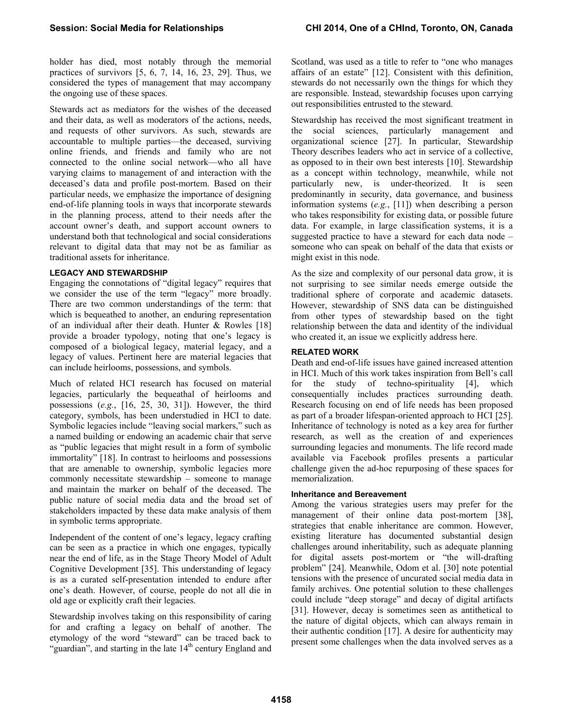holder has died, most notably through the memorial practices of survivors  $[5, 6, 7, 14, 16, 23, 29]$ . Thus, we considered the types of management that may accompany the ongoing use of these spaces.

Stewards act as mediators for the wishes of the deceased and their data, as well as moderators of the actions, needs, and requests of other survivors. As such, stewards are accountable to multiple parties—the deceased, surviving online friends, and friends and family who are not connected to the online social network—who all have varying claims to management of and interaction with the deceased's data and profile post-mortem. Based on their particular needs, we emphasize the importance of designing end-of-life planning tools in ways that incorporate stewards in the planning process, attend to their needs after the account owner's death, and support account owners to understand both that technological and social considerations relevant to digital data that may not be as familiar as traditional assets for inheritance.

# **LEGACY AND STEWARDSHIP**

Engaging the connotations of "digital legacy" requires that we consider the use of the term "legacy" more broadly. There are two common understandings of the term: that which is bequeathed to another, an enduring representation of an individual after their death. Hunter & Rowles [18] provide a broader typology, noting that one's legacy is composed of a biological legacy, material legacy, and a legacy of values. Pertinent here are material legacies that can include heirlooms, possessions, and symbols.

Much of related HCI research has focused on material legacies, particularly the bequeathal of heirlooms and possessions (*e.g.*, [16, 25, 30, 31]). However, the third category, symbols, has been understudied in HCI to date. Symbolic legacies include "leaving social markers," such as a named building or endowing an academic chair that serve as "public legacies that might result in a form of symbolic immortality" [18]. In contrast to heirlooms and possessions that are amenable to ownership, symbolic legacies more commonly necessitate stewardship – someone to manage and maintain the marker on behalf of the deceased. The public nature of social media data and the broad set of stakeholders impacted by these data make analysis of them in symbolic terms appropriate.

Independent of the content of one's legacy, legacy crafting can be seen as a practice in which one engages, typically near the end of life, as in the Stage Theory Model of Adult Cognitive Development [35]. This understanding of legacy is as a curated self-presentation intended to endure after one's death. However, of course, people do not all die in old age or explicitly craft their legacies.

Stewardship involves taking on this responsibility of caring for and crafting a legacy on behalf of another. The etymology of the word "steward" can be traced back to "guardian", and starting in the late  $14<sup>th</sup>$  century England and Scotland, was used as a title to refer to "one who manages affairs of an estate" [12]. Consistent with this definition, stewards do not necessarily own the things for which they are responsible. Instead, stewardship focuses upon carrying out responsibilities entrusted to the steward.

Stewardship has received the most significant treatment in the social sciences, particularly management and organizational science [27]. In particular, Stewardship Theory describes leaders who act in service of a collective, as opposed to in their own best interests [10]. Stewardship as a concept within technology, meanwhile, while not particularly new, is under-theorized. It is seen predominantly in security, data governance, and business information systems (*e.g.*, [11]) when describing a person who takes responsibility for existing data, or possible future data. For example, in large classification systems, it is a suggested practice to have a steward for each data node – someone who can speak on behalf of the data that exists or might exist in this node.

As the size and complexity of our personal data grow, it is not surprising to see similar needs emerge outside the traditional sphere of corporate and academic datasets. However, stewardship of SNS data can be distinguished from other types of stewardship based on the tight relationship between the data and identity of the individual who created it, an issue we explicitly address here.

# **RELATED WORK**

Death and end-of-life issues have gained increased attention in HCI. Much of this work takes inspiration from Bell's call for the study of techno-spirituality [4], which consequentially includes practices surrounding death. Research focusing on end of life needs has been proposed as part of a broader lifespan-oriented approach to HCI [25]. Inheritance of technology is noted as a key area for further research, as well as the creation of and experiences surrounding legacies and monuments. The life record made available via Facebook profiles presents a particular challenge given the ad-hoc repurposing of these spaces for memorialization.

## **Inheritance and Bereavement**

Among the various strategies users may prefer for the management of their online data post-mortem [38], strategies that enable inheritance are common. However, existing literature has documented substantial design challenges around inheritability, such as adequate planning for digital assets post-mortem or "the will-drafting problem" [24]. Meanwhile, Odom et al. [30] note potential tensions with the presence of uncurated social media data in family archives. One potential solution to these challenges could include "deep storage" and decay of digital artifacts [31]. However, decay is sometimes seen as antithetical to the nature of digital objects, which can always remain in their authentic condition [17]. A desire for authenticity may present some challenges when the data involved serves as a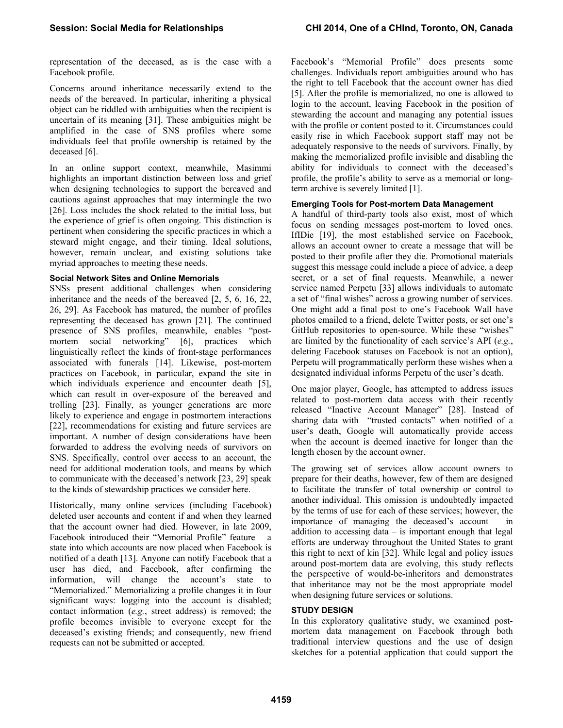representation of the deceased, as is the case with a Facebook profile.

Concerns around inheritance necessarily extend to the needs of the bereaved. In particular, inheriting a physical object can be riddled with ambiguities when the recipient is uncertain of its meaning [31]. These ambiguities might be amplified in the case of SNS profiles where some individuals feel that profile ownership is retained by the deceased [6].

In an online support context, meanwhile, Masimmi highlights an important distinction between loss and grief when designing technologies to support the bereaved and cautions against approaches that may intermingle the two [26]. Loss includes the shock related to the initial loss, but the experience of grief is often ongoing. This distinction is pertinent when considering the specific practices in which a steward might engage, and their timing. Ideal solutions, however, remain unclear, and existing solutions take myriad approaches to meeting these needs.

## **Social Network Sites and Online Memorials**

SNSs present additional challenges when considering inheritance and the needs of the bereaved [2, 5, 6, 16, 22, 26, 29]. As Facebook has matured, the number of profiles representing the deceased has grown [21]. The continued presence of SNS profiles, meanwhile, enables "postmortem social networking" [6], practices which linguistically reflect the kinds of front-stage performances associated with funerals [14]. Likewise, post-mortem practices on Facebook, in particular, expand the site in which individuals experience and encounter death [5], which can result in over-exposure of the bereaved and trolling [23]. Finally, as younger generations are more likely to experience and engage in postmortem interactions [22], recommendations for existing and future services are important. A number of design considerations have been forwarded to address the evolving needs of survivors on SNS. Specifically, control over access to an account, the need for additional moderation tools, and means by which to communicate with the deceased's network [23, 29] speak to the kinds of stewardship practices we consider here.

Historically, many online services (including Facebook) deleted user accounts and content if and when they learned that the account owner had died. However, in late 2009, Facebook introduced their "Memorial Profile" feature – a state into which accounts are now placed when Facebook is notified of a death [13]. Anyone can notify Facebook that a user has died, and Facebook, after confirming the information, will change the account's state to "Memorialized." Memorializing a profile changes it in four significant ways: logging into the account is disabled; contact information (*e.g.*, street address) is removed; the profile becomes invisible to everyone except for the deceased's existing friends; and consequently, new friend requests can not be submitted or accepted.

Facebook's "Memorial Profile" does presents some challenges. Individuals report ambiguities around who has the right to tell Facebook that the account owner has died [5]. After the profile is memorialized, no one is allowed to login to the account, leaving Facebook in the position of stewarding the account and managing any potential issues with the profile or content posted to it. Circumstances could easily rise in which Facebook support staff may not be adequately responsive to the needs of survivors. Finally, by making the memorialized profile invisible and disabling the ability for individuals to connect with the deceased's profile, the profile's ability to serve as a memorial or longterm archive is severely limited [1].

## **Emerging Tools for Post-mortem Data Management**

A handful of third-party tools also exist, most of which focus on sending messages post-mortem to loved ones. IfIDie [19], the most established service on Facebook, allows an account owner to create a message that will be posted to their profile after they die. Promotional materials suggest this message could include a piece of advice, a deep secret, or a set of final requests. Meanwhile, a newer service named Perpetu [33] allows individuals to automate a set of "final wishes" across a growing number of services. One might add a final post to one's Facebook Wall have photos emailed to a friend, delete Twitter posts, or set one's GitHub repositories to open-source. While these "wishes" are limited by the functionality of each service's API (*e.g.*, deleting Facebook statuses on Facebook is not an option), Perpetu will programmatically perform these wishes when a designated individual informs Perpetu of the user's death.

One major player, Google, has attempted to address issues related to post-mortem data access with their recently released "Inactive Account Manager" [28]. Instead of sharing data with "trusted contacts" when notified of a user's death, Google will automatically provide access when the account is deemed inactive for longer than the length chosen by the account owner.

The growing set of services allow account owners to prepare for their deaths, however, few of them are designed to facilitate the transfer of total ownership or control to another individual. This omission is undoubtedly impacted by the terms of use for each of these services; however, the importance of managing the deceased's account – in addition to accessing data  $-$  is important enough that legal efforts are underway throughout the United States to grant this right to next of kin [32]. While legal and policy issues around post-mortem data are evolving, this study reflects the perspective of would-be-inheritors and demonstrates that inheritance may not be the most appropriate model when designing future services or solutions.

## **STUDY DESIGN**

In this exploratory qualitative study, we examined postmortem data management on Facebook through both traditional interview questions and the use of design sketches for a potential application that could support the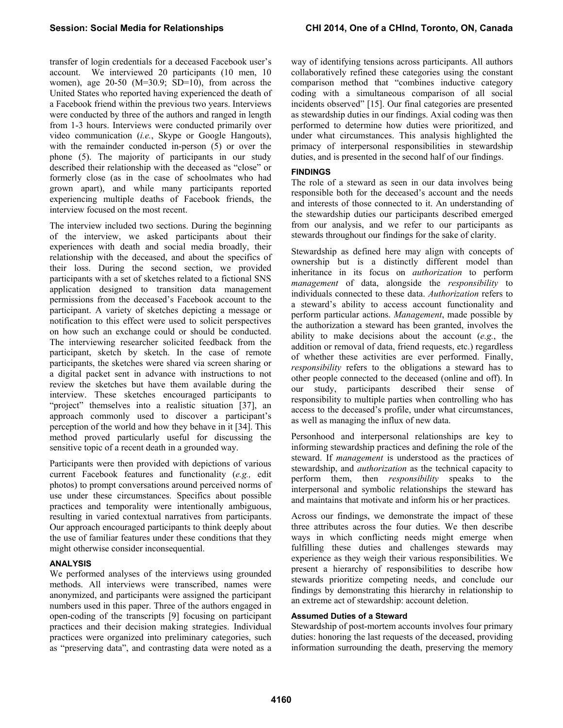transfer of login credentials for a deceased Facebook user's account. We interviewed 20 participants (10 men, 10 women), age 20-50  $(M=30.9; SD=10)$ , from across the United States who reported having experienced the death of a Facebook friend within the previous two years. Interviews were conducted by three of the authors and ranged in length from 1-3 hours. Interviews were conducted primarily over video communication (*i.e.*, Skype or Google Hangouts), with the remainder conducted in-person (5) or over the phone (5). The majority of participants in our study described their relationship with the deceased as "close" or formerly close (as in the case of schoolmates who had grown apart), and while many participants reported experiencing multiple deaths of Facebook friends, the interview focused on the most recent.

The interview included two sections. During the beginning of the interview, we asked participants about their experiences with death and social media broadly, their relationship with the deceased, and about the specifics of their loss. During the second section, we provided participants with a set of sketches related to a fictional SNS application designed to transition data management permissions from the deceased's Facebook account to the participant. A variety of sketches depicting a message or notification to this effect were used to solicit perspectives on how such an exchange could or should be conducted. The interviewing researcher solicited feedback from the participant, sketch by sketch. In the case of remote participants, the sketches were shared via screen sharing or a digital packet sent in advance with instructions to not review the sketches but have them available during the interview. These sketches encouraged participants to "project" themselves into a realistic situation [37], an approach commonly used to discover a participant's perception of the world and how they behave in it [34]. This method proved particularly useful for discussing the sensitive topic of a recent death in a grounded way.

Participants were then provided with depictions of various current Facebook features and functionality (*e.g.,* edit photos) to prompt conversations around perceived norms of use under these circumstances. Specifics about possible practices and temporality were intentionally ambiguous, resulting in varied contextual narratives from participants. Our approach encouraged participants to think deeply about the use of familiar features under these conditions that they might otherwise consider inconsequential.

## **ANALYSIS**

We performed analyses of the interviews using grounded methods. All interviews were transcribed, names were anonymized, and participants were assigned the participant numbers used in this paper. Three of the authors engaged in open-coding of the transcripts [9] focusing on participant practices and their decision making strategies. Individual practices were organized into preliminary categories, such as "preserving data", and contrasting data were noted as a way of identifying tensions across participants. All authors collaboratively refined these categories using the constant comparison method that "combines inductive category coding with a simultaneous comparison of all social incidents observed" [15]. Our final categories are presented as stewardship duties in our findings. Axial coding was then performed to determine how duties were prioritized, and under what circumstances. This analysis highlighted the primacy of interpersonal responsibilities in stewardship duties, and is presented in the second half of our findings.

# **FINDINGS**

The role of a steward as seen in our data involves being responsible both for the deceased's account and the needs and interests of those connected to it. An understanding of the stewardship duties our participants described emerged from our analysis, and we refer to our participants as stewards throughout our findings for the sake of clarity.

Stewardship as defined here may align with concepts of ownership but is a distinctly different model than inheritance in its focus on *authorization* to perform *management* of data, alongside the *responsibility* to individuals connected to these data. *Authorization* refers to a steward's ability to access account functionality and perform particular actions. *Management*, made possible by the authorization a steward has been granted, involves the ability to make decisions about the account (*e.g.*, the addition or removal of data, friend requests, etc.) regardless of whether these activities are ever performed. Finally, *responsibility* refers to the obligations a steward has to other people connected to the deceased (online and off). In our study, participants described their sense of responsibility to multiple parties when controlling who has access to the deceased's profile, under what circumstances, as well as managing the influx of new data.

Personhood and interpersonal relationships are key to informing stewardship practices and defining the role of the steward. If *management* is understood as the practices of stewardship, and *authorization* as the technical capacity to perform them, then *responsibility* speaks to the interpersonal and symbolic relationships the steward has and maintains that motivate and inform his or her practices.

Across our findings, we demonstrate the impact of these three attributes across the four duties. We then describe ways in which conflicting needs might emerge when fulfilling these duties and challenges stewards may experience as they weigh their various responsibilities. We present a hierarchy of responsibilities to describe how stewards prioritize competing needs, and conclude our findings by demonstrating this hierarchy in relationship to an extreme act of stewardship: account deletion.

## **Assumed Duties of a Steward**

Stewardship of post-mortem accounts involves four primary duties: honoring the last requests of the deceased, providing information surrounding the death, preserving the memory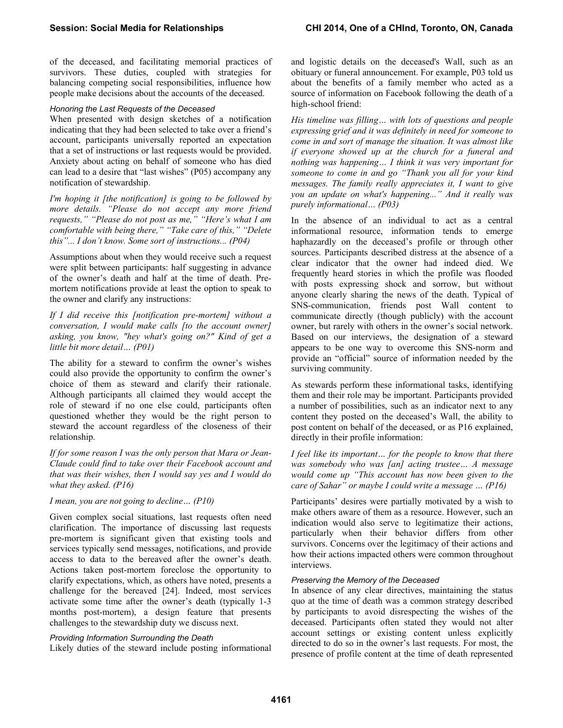of the deceased, and facilitating memorial practices of survivors. These duties, coupled with strategies for balancing competing social responsibilities, influence how people make decisions about the accounts of the deceased.

#### *Honoring the Last Requests of the Deceased*

When presented with design sketches of a notification indicating that they had been selected to take over a friend's account, participants universally reported an expectation that a set of instructions or last requests would be provided. Anxiety about acting on behalf of someone who has died can lead to a desire that "last wishes" (P05) accompany any notification of stewardship.

*I'm hoping it [the notification] is going to be followed by more details. "Please do not accept any more friend requests," "Please do not post as me," "Here's what I am comfortable with being there," "Take care of this," "Delete this"... I don't know. Some sort of instructions... (P04)* 

Assumptions about when they would receive such a request were split between participants: half suggesting in advance of the owner's death and half at the time of death. Premortem notifications provide at least the option to speak to the owner and clarify any instructions:

*If I did receive this [notification pre-mortem] without a conversation, I would make calls [to the account owner] asking, you know, "hey what's going on?" Kind of get a little bit more detail… (P01)* 

The ability for a steward to confirm the owner's wishes could also provide the opportunity to confirm the owner's choice of them as steward and clarify their rationale. Although participants all claimed they would accept the role of steward if no one else could, participants often questioned whether they would be the right person to steward the account regardless of the closeness of their relationship.

*If for some reason I was the only person that Mara or Jean-Claude could find to take over their Facebook account and that was their wishes, then I would say yes and I would do what they asked. (P16)* 

## *I mean, you are not going to decline… (P10)*

Given complex social situations, last requests often need clarification. The importance of discussing last requests pre-mortem is significant given that existing tools and services typically send messages, notifications, and provide access to data to the bereaved after the owner's death. Actions taken post-mortem foreclose the opportunity to clarify expectations, which, as others have noted, presents a challenge for the bereaved [24]. Indeed, most services activate some time after the owner's death (typically 1-3 months post-mortem), a design feature that presents challenges to the stewardship duty we discuss next.

## *Providing Information Surrounding the Death*

Likely duties of the steward include posting informational

and logistic details on the deceased's Wall, such as an obituary or funeral announcement. For example, P03 told us about the benefits of a family member who acted as a source of information on Facebook following the death of a high-school friend:

*His timeline was filling… with lots of questions and people expressing grief and it was definitely in need for someone to come in and sort of manage the situation. It was almost like if everyone showed up at the church for a funeral and nothing was happening… I think it was very important for someone to come in and go "Thank you all for your kind messages. The family really appreciates it, I want to give you an update on what's happening..." And it really was purely informational… (P03)* 

In the absence of an individual to act as a central informational resource, information tends to emerge haphazardly on the deceased's profile or through other sources. Participants described distress at the absence of a clear indicator that the owner had indeed died. We frequently heard stories in which the profile was flooded with posts expressing shock and sorrow, but without anyone clearly sharing the news of the death. Typical of SNS-communication, friends post Wall content to communicate directly (though publicly) with the account owner, but rarely with others in the owner's social network. Based on our interviews, the designation of a steward appears to be one way to overcome this SNS-norm and provide an "official" source of information needed by the surviving community.

As stewards perform these informational tasks, identifying them and their role may be important. Participants provided a number of possibilities, such as an indicator next to any content they posted on the deceased's Wall, the ability to post content on behalf of the deceased, or as P16 explained, directly in their profile information:

*I feel like its important… for the people to know that there was somebody who was [an] acting trustee… A message would come up "This account has now been given to the care of Sahar" or maybe I could write a message … (P16)* 

Participants' desires were partially motivated by a wish to make others aware of them as a resource. However, such an indication would also serve to legitimatize their actions, particularly when their behavior differs from other survivors. Concerns over the legitimacy of their actions and how their actions impacted others were common throughout interviews.

#### *Preserving the Memory of the Deceased*

In absence of any clear directives, maintaining the status quo at the time of death was a common strategy described by participants to avoid disrespecting the wishes of the deceased. Participants often stated they would not alter account settings or existing content unless explicitly directed to do so in the owner's last requests. For most, the presence of profile content at the time of death represented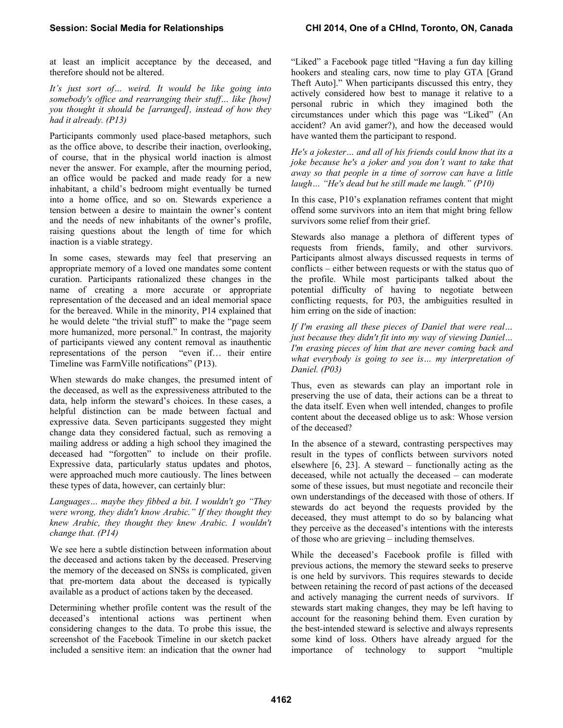at least an implicit acceptance by the deceased, and therefore should not be altered.

*It's just sort of… weird. It would be like going into somebody's office and rearranging their stuff… like [how] you thought it should be [arranged], instead of how they had it already. (P13)* 

Participants commonly used place-based metaphors, such as the office above, to describe their inaction, overlooking, of course, that in the physical world inaction is almost never the answer. For example, after the mourning period, an office would be packed and made ready for a new inhabitant, a child's bedroom might eventually be turned into a home office, and so on. Stewards experience a tension between a desire to maintain the owner's content and the needs of new inhabitants of the owner's profile, raising questions about the length of time for which inaction is a viable strategy.

In some cases, stewards may feel that preserving an appropriate memory of a loved one mandates some content curation. Participants rationalized these changes in the name of creating a more accurate or appropriate representation of the deceased and an ideal memorial space for the bereaved. While in the minority, P14 explained that he would delete "the trivial stuff" to make the "page seem more humanized, more personal." In contrast, the majority of participants viewed any content removal as inauthentic representations of the person "even if… their entire Timeline was FarmVille notifications" (P13).

When stewards do make changes, the presumed intent of the deceased, as well as the expressiveness attributed to the data, help inform the steward's choices. In these cases, a helpful distinction can be made between factual and expressive data. Seven participants suggested they might change data they considered factual, such as removing a mailing address or adding a high school they imagined the deceased had "forgotten" to include on their profile. Expressive data, particularly status updates and photos, were approached much more cautiously. The lines between these types of data, however, can certainly blur:

*Languages… maybe they fibbed a bit. I wouldn't go "They were wrong, they didn't know Arabic." If they thought they knew Arabic, they thought they knew Arabic. I wouldn't change that. (P14)* 

We see here a subtle distinction between information about the deceased and actions taken by the deceased. Preserving the memory of the deceased on SNSs is complicated, given that pre-mortem data about the deceased is typically available as a product of actions taken by the deceased.

Determining whether profile content was the result of the deceased's intentional actions was pertinent when considering changes to the data. To probe this issue, the screenshot of the Facebook Timeline in our sketch packet included a sensitive item: an indication that the owner had

"Liked" a Facebook page titled "Having a fun day killing hookers and stealing cars, now time to play GTA [Grand Theft Auto]." When participants discussed this entry, they actively considered how best to manage it relative to a personal rubric in which they imagined both the circumstances under which this page was "Liked" (An accident? An avid gamer?), and how the deceased would have wanted them the participant to respond.

*He's a jokester… and all of his friends could know that its a joke because he's a joker and you don't want to take that away so that people in a time of sorrow can have a little laugh… "He's dead but he still made me laugh." (P10)* 

In this case, P10's explanation reframes content that might offend some survivors into an item that might bring fellow survivors some relief from their grief.

Stewards also manage a plethora of different types of requests from friends, family, and other survivors. Participants almost always discussed requests in terms of conflicts – either between requests or with the status quo of the profile. While most participants talked about the potential difficulty of having to negotiate between conflicting requests, for P03, the ambiguities resulted in him erring on the side of inaction:

*If I'm erasing all these pieces of Daniel that were real… just because they didn't fit into my way of viewing Daniel… I'm erasing pieces of him that are never coming back and what everybody is going to see is… my interpretation of Daniel. (P03)* 

Thus, even as stewards can play an important role in preserving the use of data, their actions can be a threat to the data itself. Even when well intended, changes to profile content about the deceased oblige us to ask: Whose version of the deceased?

In the absence of a steward, contrasting perspectives may result in the types of conflicts between survivors noted elsewhere  $[6, 23]$ . A steward – functionally acting as the deceased, while not actually the deceased – can moderate some of these issues, but must negotiate and reconcile their own understandings of the deceased with those of others. If stewards do act beyond the requests provided by the deceased, they must attempt to do so by balancing what they perceive as the deceased's intentions with the interests of those who are grieving – including themselves.

While the deceased's Facebook profile is filled with previous actions, the memory the steward seeks to preserve is one held by survivors. This requires stewards to decide between retaining the record of past actions of the deceased and actively managing the current needs of survivors. If stewards start making changes, they may be left having to account for the reasoning behind them. Even curation by the best-intended steward is selective and always represents some kind of loss. Others have already argued for the importance of technology to support "multiple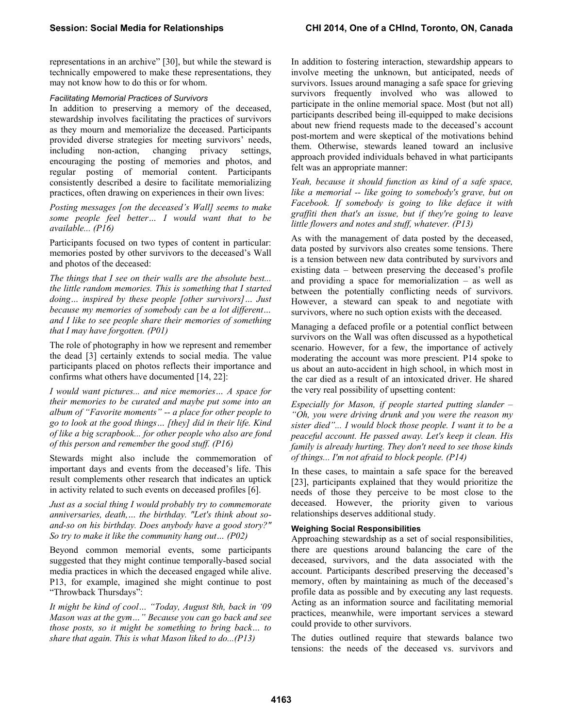representations in an archive" [30], but while the steward is technically empowered to make these representations, they may not know how to do this or for whom.

#### *Facilitating Memorial Practices of Survivors*

In addition to preserving a memory of the deceased, stewardship involves facilitating the practices of survivors as they mourn and memorialize the deceased. Participants provided diverse strategies for meeting survivors' needs,<br>including non-action, changing privacy settings. including non-action, changing privacy settings, encouraging the posting of memories and photos, and regular posting of memorial content. Participants consistently described a desire to facilitate memorializing practices, often drawing on experiences in their own lives:

*Posting messages [on the deceased's Wall] seems to make some people feel better… I would want that to be available... (P16)* 

Participants focused on two types of content in particular: memories posted by other survivors to the deceased's Wall and photos of the deceased:

*The things that I see on their walls are the absolute best... the little random memories. This is something that I started doing… inspired by these people [other survivors]… Just because my memories of somebody can be a lot different… and I like to see people share their memories of something that I may have forgotten. (P01)* 

The role of photography in how we represent and remember the dead [3] certainly extends to social media. The value participants placed on photos reflects their importance and confirms what others have documented [14, 22]:

*I would want pictures... and nice memories… A space for their memories to be curated and maybe put some into an album of "Favorite moments" -- a place for other people to go to look at the good things… [they] did in their life. Kind of like a big scrapbook... for other people who also are fond of this person and remember the good stuff. (P16)* 

Stewards might also include the commemoration of important days and events from the deceased's life. This result complements other research that indicates an uptick in activity related to such events on deceased profiles [6].

*Just as a social thing I would probably try to commemorate anniversaries, death,… the birthday. "Let's think about soand-so on his birthday. Does anybody have a good story?" So try to make it like the community hang out… (P02)* 

Beyond common memorial events, some participants suggested that they might continue temporally-based social media practices in which the deceased engaged while alive. P13, for example, imagined she might continue to post "Throwback Thursdays":

*It might be kind of cool… "Today, August 8th, back in '09 Mason was at the gym…" Because you can go back and see those posts, so it might be something to bring back… to share that again. This is what Mason liked to do...(P13)* 

In addition to fostering interaction, stewardship appears to involve meeting the unknown, but anticipated, needs of survivors. Issues around managing a safe space for grieving survivors frequently involved who was allowed to participate in the online memorial space. Most (but not all) participants described being ill-equipped to make decisions about new friend requests made to the deceased's account post-mortem and were skeptical of the motivations behind them. Otherwise, stewards leaned toward an inclusive approach provided individuals behaved in what participants felt was an appropriate manner:

*Yeah, because it should function as kind of a safe space, like a memorial -- like going to somebody's grave, but on Facebook. If somebody is going to like deface it with graffiti then that's an issue, but if they're going to leave little flowers and notes and stuff, whatever. (P13)* 

As with the management of data posted by the deceased, data posted by survivors also creates some tensions. There is a tension between new data contributed by survivors and existing data – between preserving the deceased's profile and providing a space for memorialization – as well as between the potentially conflicting needs of survivors. However, a steward can speak to and negotiate with survivors, where no such option exists with the deceased.

Managing a defaced profile or a potential conflict between survivors on the Wall was often discussed as a hypothetical scenario. However, for a few, the importance of actively moderating the account was more prescient. P14 spoke to us about an auto-accident in high school, in which most in the car died as a result of an intoxicated driver. He shared the very real possibility of upsetting content:

*Especially for Mason, if people started putting slander – "Oh, you were driving drunk and you were the reason my sister died"... I would block those people. I want it to be a peaceful account. He passed away. Let's keep it clean. His family is already hurting. They don't need to see those kinds of things... I'm not afraid to block people. (P14)* 

In these cases, to maintain a safe space for the bereaved [23], participants explained that they would prioritize the needs of those they perceive to be most close to the deceased. However, the priority given to various relationships deserves additional study.

## **Weighing Social Responsibilities**

Approaching stewardship as a set of social responsibilities, there are questions around balancing the care of the deceased, survivors, and the data associated with the account. Participants described preserving the deceased's memory, often by maintaining as much of the deceased's profile data as possible and by executing any last requests. Acting as an information source and facilitating memorial practices, meanwhile, were important services a steward could provide to other survivors.

The duties outlined require that stewards balance two tensions: the needs of the deceased vs. survivors and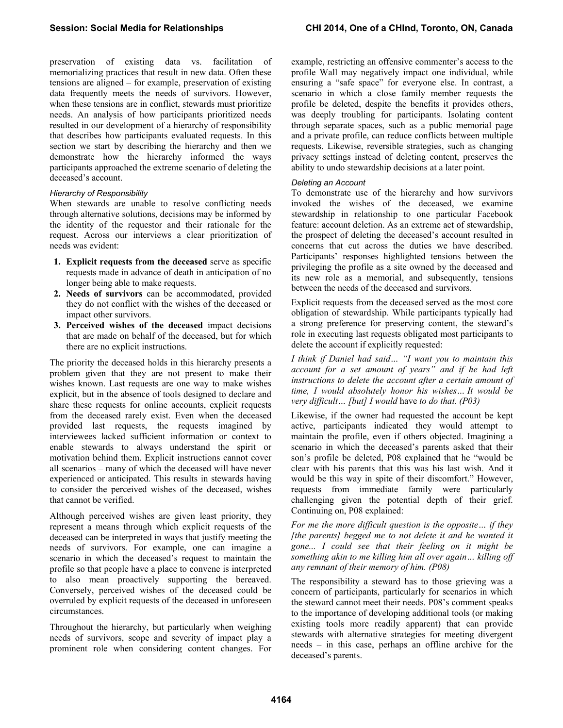preservation of existing data vs. facilitation of memorializing practices that result in new data. Often these tensions are aligned – for example, preservation of existing data frequently meets the needs of survivors. However, when these tensions are in conflict, stewards must prioritize needs. An analysis of how participants prioritized needs resulted in our development of a hierarchy of responsibility that describes how participants evaluated requests. In this section we start by describing the hierarchy and then we demonstrate how the hierarchy informed the ways participants approached the extreme scenario of deleting the deceased's account.

#### *Hierarchy of Responsibility*

When stewards are unable to resolve conflicting needs through alternative solutions, decisions may be informed by the identity of the requestor and their rationale for the request. Across our interviews a clear prioritization of needs was evident:

- **1. Explicit requests from the deceased** serve as specific requests made in advance of death in anticipation of no longer being able to make requests.
- **2. Needs of survivors** can be accommodated, provided they do not conflict with the wishes of the deceased or impact other survivors.
- **3. Perceived wishes of the deceased** impact decisions that are made on behalf of the deceased, but for which there are no explicit instructions.

The priority the deceased holds in this hierarchy presents a problem given that they are not present to make their wishes known. Last requests are one way to make wishes explicit, but in the absence of tools designed to declare and share these requests for online accounts, explicit requests from the deceased rarely exist. Even when the deceased provided last requests, the requests imagined by interviewees lacked sufficient information or context to enable stewards to always understand the spirit or motivation behind them. Explicit instructions cannot cover all scenarios – many of which the deceased will have never experienced or anticipated. This results in stewards having to consider the perceived wishes of the deceased, wishes that cannot be verified.

Although perceived wishes are given least priority, they represent a means through which explicit requests of the deceased can be interpreted in ways that justify meeting the needs of survivors. For example, one can imagine a scenario in which the deceased's request to maintain the profile so that people have a place to convene is interpreted to also mean proactively supporting the bereaved. Conversely, perceived wishes of the deceased could be overruled by explicit requests of the deceased in unforeseen circumstances.

Throughout the hierarchy, but particularly when weighing needs of survivors, scope and severity of impact play a prominent role when considering content changes. For example, restricting an offensive commenter's access to the profile Wall may negatively impact one individual, while ensuring a "safe space" for everyone else. In contrast, a scenario in which a close family member requests the profile be deleted, despite the benefits it provides others, was deeply troubling for participants. Isolating content through separate spaces, such as a public memorial page and a private profile, can reduce conflicts between multiple requests. Likewise, reversible strategies, such as changing privacy settings instead of deleting content, preserves the ability to undo stewardship decisions at a later point.

## *Deleting an Account*

To demonstrate use of the hierarchy and how survivors invoked the wishes of the deceased, we examine stewardship in relationship to one particular Facebook feature: account deletion. As an extreme act of stewardship, the prospect of deleting the deceased's account resulted in concerns that cut across the duties we have described. Participants' responses highlighted tensions between the privileging the profile as a site owned by the deceased and its new role as a memorial, and subsequently, tensions between the needs of the deceased and survivors.

Explicit requests from the deceased served as the most core obligation of stewardship. While participants typically had a strong preference for preserving content, the steward's role in executing last requests obligated most participants to delete the account if explicitly requested:

*I think if Daniel had said… "I want you to maintain this account for a set amount of years" and if he had left instructions to delete the account after a certain amount of time, I would absolutely honor his wishes… It would be very difficult… [but] I would* have *to do that. (P03)* 

Likewise, if the owner had requested the account be kept active, participants indicated they would attempt to maintain the profile, even if others objected. Imagining a scenario in which the deceased's parents asked that their son's profile be deleted, P08 explained that he "would be clear with his parents that this was his last wish. And it would be this way in spite of their discomfort." However, requests from immediate family were particularly challenging given the potential depth of their grief. Continuing on, P08 explained:

*For me the more difficult question is the opposite… if they [the parents] begged me to not delete it and he wanted it gone... I could see that their feeling on it might be something akin to me killing him all over again… killing off any remnant of their memory of him. (P08)* 

The responsibility a steward has to those grieving was a concern of participants, particularly for scenarios in which the steward cannot meet their needs. P08's comment speaks to the importance of developing additional tools (or making existing tools more readily apparent) that can provide stewards with alternative strategies for meeting divergent needs – in this case, perhaps an offline archive for the deceased's parents.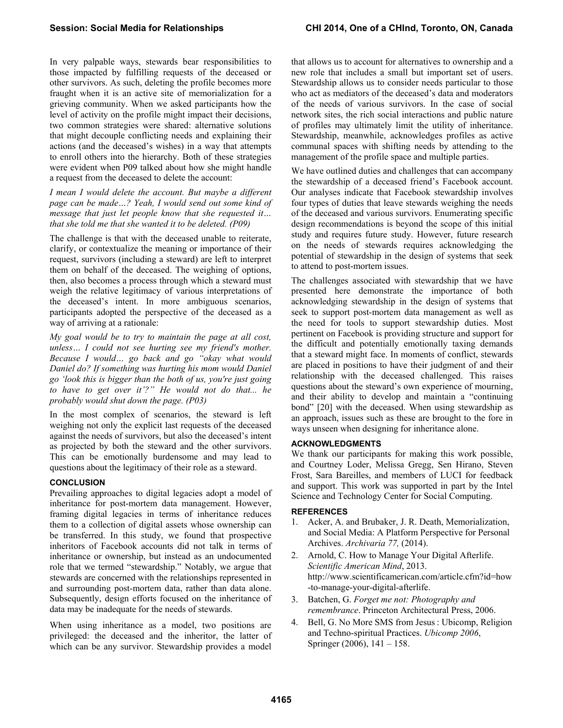In very palpable ways, stewards bear responsibilities to those impacted by fulfilling requests of the deceased or other survivors. As such, deleting the profile becomes more fraught when it is an active site of memorialization for a grieving community. When we asked participants how the level of activity on the profile might impact their decisions, two common strategies were shared: alternative solutions that might decouple conflicting needs and explaining their actions (and the deceased's wishes) in a way that attempts to enroll others into the hierarchy. Both of these strategies were evident when P09 talked about how she might handle a request from the deceased to delete the account:

*I mean I would delete the account. But maybe a different page can be made…? Yeah, I would send out some kind of message that just let people know that she requested it… that she told me that she wanted it to be deleted. (P09)* 

The challenge is that with the deceased unable to reiterate, clarify, or contextualize the meaning or importance of their request, survivors (including a steward) are left to interpret them on behalf of the deceased. The weighing of options, then, also becomes a process through which a steward must weigh the relative legitimacy of various interpretations of the deceased's intent. In more ambiguous scenarios, participants adopted the perspective of the deceased as a way of arriving at a rationale:

*My goal would be to try to maintain the page at all cost, unless… I could not see hurting see my friend's mother. Because I would… go back and go "okay what would Daniel do? If something was hurting his mom would Daniel go 'look this is bigger than the both of us, you're just going to have to get over it'?" He would not do that... he probably would shut down the page. (P03)*

In the most complex of scenarios, the steward is left weighing not only the explicit last requests of the deceased against the needs of survivors, but also the deceased's intent as projected by both the steward and the other survivors. This can be emotionally burdensome and may lead to questions about the legitimacy of their role as a steward.

## **CONCLUSION**

Prevailing approaches to digital legacies adopt a model of inheritance for post-mortem data management. However, framing digital legacies in terms of inheritance reduces them to a collection of digital assets whose ownership can be transferred. In this study, we found that prospective inheritors of Facebook accounts did not talk in terms of inheritance or ownership, but instead as an undocumented role that we termed "stewardship." Notably, we argue that stewards are concerned with the relationships represented in and surrounding post-mortem data, rather than data alone. Subsequently, design efforts focused on the inheritance of data may be inadequate for the needs of stewards.

When using inheritance as a model, two positions are privileged: the deceased and the inheritor, the latter of which can be any survivor. Stewardship provides a model that allows us to account for alternatives to ownership and a new role that includes a small but important set of users. Stewardship allows us to consider needs particular to those who act as mediators of the deceased's data and moderators of the needs of various survivors. In the case of social network sites, the rich social interactions and public nature of profiles may ultimately limit the utility of inheritance. Stewardship, meanwhile, acknowledges profiles as active communal spaces with shifting needs by attending to the management of the profile space and multiple parties.

We have outlined duties and challenges that can accompany the stewardship of a deceased friend's Facebook account. Our analyses indicate that Facebook stewardship involves four types of duties that leave stewards weighing the needs of the deceased and various survivors. Enumerating specific design recommendations is beyond the scope of this initial study and requires future study. However, future research on the needs of stewards requires acknowledging the potential of stewardship in the design of systems that seek to attend to post-mortem issues.

The challenges associated with stewardship that we have presented here demonstrate the importance of both acknowledging stewardship in the design of systems that seek to support post-mortem data management as well as the need for tools to support stewardship duties. Most pertinent on Facebook is providing structure and support for the difficult and potentially emotionally taxing demands that a steward might face. In moments of conflict, stewards are placed in positions to have their judgment of and their relationship with the deceased challenged. This raises questions about the steward's own experience of mourning, and their ability to develop and maintain a "continuing bond" [20] with the deceased. When using stewardship as an approach, issues such as these are brought to the fore in ways unseen when designing for inheritance alone.

## **ACKNOWLEDGMENTS**

We thank our participants for making this work possible, and Courtney Loder, Melissa Gregg, Sen Hirano, Steven Frost, Sara Bareilles, and members of LUCI for feedback and support. This work was supported in part by the Intel Science and Technology Center for Social Computing.

## **REFERENCES**

- 1. Acker, A. and Brubaker, J. R. Death, Memorialization, and Social Media: A Platform Perspective for Personal Archives. *Archivaria 77,* (2014).
- Arnold, C. How to Manage Your Digital Afterlife. *Scientific American Mind*, 2013. http://www.scientificamerican.com/article.cfm?id=how -to-manage-your-digital-afterlife.
- 3. Batchen, G. *Forget me not: Photography and remembrance*. Princeton Architectural Press, 2006.
- 4. Bell, G. No More SMS from Jesus: Ubicomp, Religion and Techno-spiritual Practices. *Ubicomp 2006*, Springer (2006), 141 – 158.